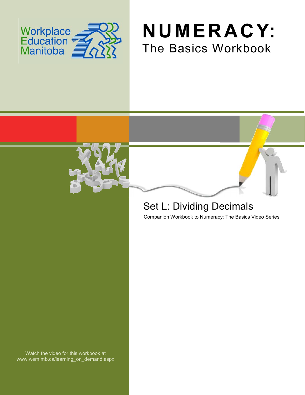





# Set L: Dividing Decimals

Companion Workbook to Numeracy: The Basics Video Series

Watch the video for this workbook at www.wem.mb.ca/learning\_on\_demand.aspx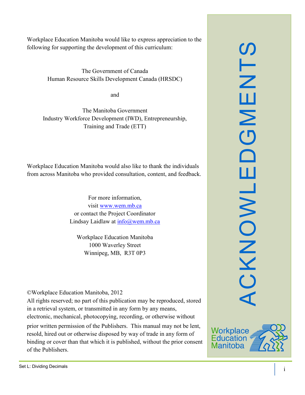Workplace Education Manitoba would like to express appreciation to the following for supporting the development of this curriculum:

> The Government of Canada Human Resource Skills Development Canada (HRSDC)

> > and

The Manitoba Government Industry Workforce Development (IWD), Entrepreneurship, Training and Trade (ETT)

Workplace Education Manitoba would also like to thank the individuals from across Manitoba who provided consultation, content, and feedback.

> For more information, visit [www.wem.mb.ca](http://www.wem.mb.ca/) or contact the Project Coordinator Lindsay Laidlaw at [info@wem.mb.ca](mailto:info@wem.mb.ca)

Workplace Education Manitoba 1000 Waverley Street Winnipeg, MB, R3T 0P3

©Workplace Education Manitoba, 2012

All rights reserved; no part of this publication may be reproduced, stored in a retrieval system, or transmitted in any form by any means, electronic, mechanical, photocopying, recording, or otherwise without

prior written permission of the Publishers. This manual may not be lent, resold, hired out or otherwise disposed by way of trade in any form of binding or cover than that which it is published, without the prior consent of the Publishers.



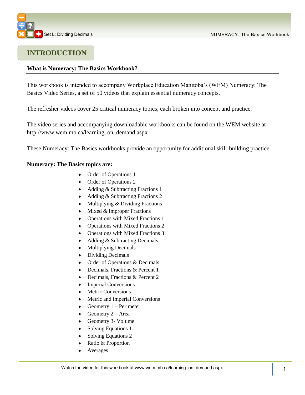## **INTRODUCTION**

### **What is Numeracy: The Basics Workbook?**

This workbook is intended to accompany Workplace Education Manitoba's (WEM) Numeracy: The Basics Video Series, a set of 50 videos that explain essential numeracy concepts.

The refresher videos cover 25 critical numeracy topics, each broken into concept and practice.

The video series and accompanying downloadable workbooks can be found on the WEM website at [http://www.wem.mb.ca/learning\\_on\\_demand.aspx](http://www.wem.mb.ca/learning_on_demand.aspx)

These Numeracy: The Basics workbooks provide an opportunity for additional skill-building practice.

#### **Numeracy: The Basics topics are:**

- Order of Operations 1
- Order of Operations 2
- Adding & Subtracting Fractions 1
- Adding & Subtracting Fractions 2
- Multiplying & Dividing Fractions  $\bullet$
- $\bullet$  Mixed & Improper Fractions
- Operations with Mixed Fractions 1  $\bullet$
- Operations with Mixed Fractions 2
- Operations with Mixed Fractions 3  $\bullet$
- $\bullet$ Adding & Subtracting Decimals
- Multiplying Decimals  $\bullet$
- Dividing Decimals  $\bullet$
- Order of Operations & Decimals  $\bullet$
- Decimals, Fractions & Percent 1  $\bullet$
- Decimals, Fractions & Percent 2  $\bullet$
- Imperial Conversions
- Metric Conversions
- Metric and Imperial Conversions
- Geometry 1 Perimeter  $\bullet$
- Geometry 2 Area  $\bullet$
- Geometry 3- Volume
- Solving Equations 1
- $\bullet$ Solving Equations 2
- Ratio & Proportion  $\bullet$
- Averages  $\bullet$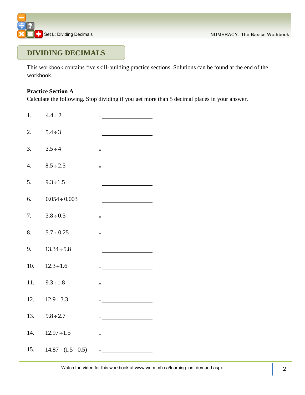

### **DIVIDING DECIMALS**

This workbook contains five skill-building practice sections. Solutions can be found at the end of the workbook.

### **Practice Section A**

Calculate the following. Stop dividing if you get more than 5 decimal places in your answer.

1.  $4.4 \div 2$  = 2.  $5.4 \div 3$  = 3.  $3.5 \div 4$ 4.  $8.5 \div 2.5$ 5.  $9.3 \div 1.5$   $=$ 6.  $0.054 \div 0.003$  = 7.  $3.8 \div 0.5$   $=$ 8.  $5.7 \div 0.25$ 9.  $13.34 \div 5.8$ 10.  $12.3 \div 1.6$  = 11.  $9.3 \div 1.8$ 12.  $12.9 \div 3.3$   $=$ 13.  $9.8 \div 2.7$ 14.  $12.97 \div 1.5$ 15.  $14.87 \div (1.5 \div 0.5)$  =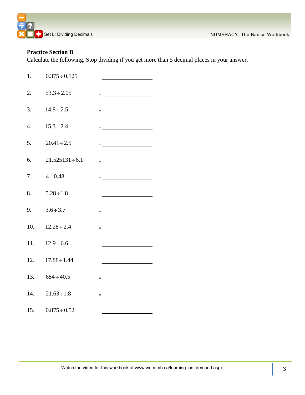

### **Practice Section B**

Calculate the following. Stop dividing if you get more than 5 decimal places in your answer.

| 1.               | $0.375 \div 0.125$    | $=\underbrace{\qquad \qquad ~~\qquad \qquad ~~\qquad \qquad ~~\qquad \qquad ~~\qquad \qquad ~~\qquad \qquad ~~\qquad \qquad ~~\qquad \qquad ~~\qquad \qquad ~~\qquad \qquad ~~\qquad \qquad ~~\qquad \qquad ~~\qquad \qquad ~~\qquad \qquad ~~\qquad \qquad ~~\qquad \qquad ~~\qquad \qquad ~~\qquad \qquad ~~\qquad \qquad ~~\qquad \qquad ~~\qquad \qquad ~~\qquad \qquad ~~\qquad \qquad ~~\qquad \qquad ~~\qquad \qquad ~~\qquad \qquad ~~\qquad \qquad ~~\qquad \qquad ~~\qquad \qquad ~~\qquad \qquad ~~\qquad \qquad ~~$                                              |
|------------------|-----------------------|------------------------------------------------------------------------------------------------------------------------------------------------------------------------------------------------------------------------------------------------------------------------------------------------------------------------------------------------------------------------------------------------------------------------------------------------------------------------------------------------------------------------------------------------------------------------------|
| 2.               | $53.3 \div 2.05$      | $\equiv$ 100 minutes of the state of the state $\sim$                                                                                                                                                                                                                                                                                                                                                                                                                                                                                                                        |
| 3.               | $14.8 \div 2.5$       | = <u>_______________________</u>                                                                                                                                                                                                                                                                                                                                                                                                                                                                                                                                             |
| $\overline{4}$ . | $15.3 \div 2.4$       | $=\underbrace{\qquad \qquad }_{\qquad \qquad }=\underbrace{\qquad \qquad }_{\qquad \qquad }=\underbrace{\qquad \qquad }_{\qquad \qquad }=\underbrace{\qquad \qquad }_{\qquad \qquad }=\underbrace{\qquad \qquad }_{\qquad \qquad }=\underbrace{\qquad \qquad }_{\qquad \qquad }=\underbrace{\qquad \qquad }_{\qquad \qquad }=\underbrace{\qquad \qquad }_{\qquad \qquad }=\underbrace{\qquad \qquad }_{\qquad \qquad }=\underbrace{\qquad \qquad }_{\qquad \qquad }=\underbrace{\qquad \qquad }_{\qquad \qquad }=\underbrace{\qquad \qquad }_{\qquad \qquad }=\underbrace{\$ |
| 5.               | $20.41 \div 2.5$      | $=$ <u>_______________________</u>                                                                                                                                                                                                                                                                                                                                                                                                                                                                                                                                           |
| 6.               | $21.525131 \div 6.1$  | $=\underbrace{\qquad \qquad }_{\qquad \qquad }=\underbrace{\qquad \qquad }_{\qquad \qquad }=\underbrace{\qquad \qquad }_{\qquad \qquad }=\underbrace{\qquad \qquad }_{\qquad \qquad }=\underbrace{\qquad \qquad }_{\qquad \qquad }=\underbrace{\qquad \qquad }_{\qquad \qquad }=\underbrace{\qquad \qquad }_{\qquad \qquad }=\underbrace{\qquad \qquad }_{\qquad \qquad }=\underbrace{\qquad \qquad }_{\qquad \qquad }=\underbrace{\qquad \qquad }_{\qquad \qquad }=\underbrace{\qquad \qquad }_{\qquad \qquad }=\underbrace{\qquad \qquad }_{\qquad \qquad }=\underbrace{\$ |
| 7.               | $4 \div 0.48$         |                                                                                                                                                                                                                                                                                                                                                                                                                                                                                                                                                                              |
| 8.               | $5.28 \div 1.8$       | $=\underbrace{\qquad \qquad }_{\qquad \qquad }=\underbrace{\qquad \qquad }_{\qquad \qquad }+\left( \begin{array}{ccccc } & \qquad & \ddots & \qquad & \vdots & \qquad \qquad & \ddots & \qquad \qquad & \ddots & \qquad \qquad & \ddots & \qquad \qquad & \ddots & \qquad \qquad & \ddots & \qquad \qquad & \ddots & \qquad \qquad & \ddots & \qquad \qquad & \ddots & \qquad \qquad & \ddots & \qquad \qquad & \ddots & \qquad \qquad & \ddots & \qquad \qquad & \ddots & \qquad \qquad & \ddots & \qquad \qquad & \ddots & \q$                                             |
| 9.               | $3.6 \div 3.7$        |                                                                                                                                                                                                                                                                                                                                                                                                                                                                                                                                                                              |
| 10.              | $12.28 \div 2.4$      | <u> = __________________________</u>                                                                                                                                                                                                                                                                                                                                                                                                                                                                                                                                         |
| 11.              | $12.9 \div 6.6$       | $=\underbrace{\qquad \qquad }_{\qquad \qquad }=\underbrace{\qquad \qquad }_{\qquad \qquad }=\underbrace{\qquad \qquad }_{\qquad \qquad }=\underbrace{\qquad \qquad }_{\qquad \qquad }=\underbrace{\qquad \qquad }_{\qquad \qquad }=\underbrace{\qquad \qquad }_{\qquad \qquad }=\underbrace{\qquad \qquad }_{\qquad \qquad }=\underbrace{\qquad \qquad }_{\qquad \qquad }=\underbrace{\qquad \qquad }_{\qquad \qquad }=\underbrace{\qquad \qquad }_{\qquad \qquad }=\underbrace{\qquad \qquad }_{\qquad \qquad }=\underbrace{\qquad \qquad }_{\qquad \qquad }=\underbrace{\$ |
| 12.              | $17.88 \div 1.44$     | $=\underbrace{\qquad \qquad }_{\qquad \qquad }=\underbrace{\qquad \qquad }_{\qquad \qquad }=\underbrace{\qquad \qquad }_{\qquad \qquad }=\underbrace{\qquad \qquad }_{\qquad \qquad }=\underbrace{\qquad \qquad }_{\qquad \qquad }=\underbrace{\qquad \qquad }_{\qquad \qquad }=\underbrace{\qquad \qquad }_{\qquad \qquad }=\underbrace{\qquad \qquad }_{\qquad \qquad }=\underbrace{\qquad \qquad }_{\qquad \qquad }=\underbrace{\qquad \qquad }_{\qquad \qquad }=\underbrace{\qquad \qquad }_{\qquad \qquad }=\underbrace{\qquad \qquad }_{\qquad \qquad }=\underbrace{\$ |
|                  | 13. $684 \div 40.5$   | $=\underbrace{\qquad \qquad }_{\qquad \qquad }=\underbrace{\qquad \qquad }_{\qquad \qquad }+\left( \begin{array}{ccccc } & \qquad & \ddots & \qquad & \ddots & \qquad & \ddots & \qquad \qquad & \ddots & \qquad \qquad & \ddots & \qquad \qquad & \ddots & \qquad \qquad & \ddots & \qquad \qquad & \ddots & \qquad \qquad & \ddots & \qquad \qquad & \ddots & \qquad \qquad & \ddots & \qquad \qquad & \ddots & \qquad \qquad & \ddots & \qquad \qquad & \ddots & \qquad \qquad & \ddots & \qquad \qquad & \ddots & \qquad \q$                                             |
|                  | 14. $21.63 \div 1.8$  | $=$ <u>_______________________</u>                                                                                                                                                                                                                                                                                                                                                                                                                                                                                                                                           |
|                  | 15. $0.875 \div 0.52$ |                                                                                                                                                                                                                                                                                                                                                                                                                                                                                                                                                                              |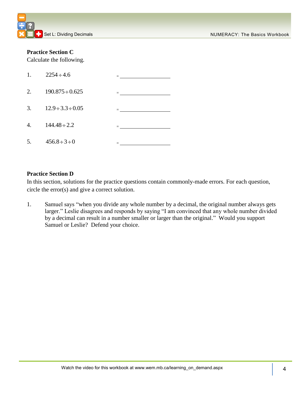### **Practice Section C**

Calculate the following.

| 1. | $2254 \div 4.6$           |         |
|----|---------------------------|---------|
| 2. | $190.875 \div 0.625$      |         |
| 3. | $12.9 \div 3.3 \div 0.05$ | $=$ $-$ |
| 4. | $144.48 \div 2.2$         |         |
| 5. | $456.8 \div 3 \div 0$     |         |

### **Practice Section D**

In this section, solutions for the practice questions contain commonly-made errors. For each question, circle the error(s) and give a correct solution.

1. Samuel says "when you divide any whole number by a decimal, the original number always gets larger." Leslie disagrees and responds by saying "I am convinced that any whole number divided by a decimal can result in a number smaller or larger than the original." Would you support Samuel or Leslie? Defend your choice.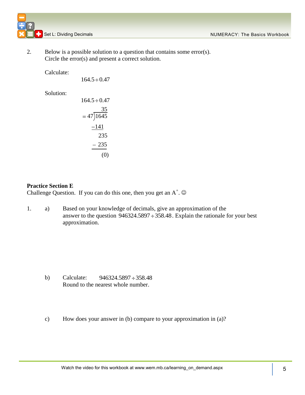Set L: Dividing Decimals Numerical Set L: Dividing Decimals Numerical Set L: Dividing Decimals

2. Below is a possible solution to a question that contains some error(s). Circle the error(s) and present a correct solution.

Calculate:

 $164.5 \div 0.47$ Solution:  $164.5 \div 0.47$ 35  $= 47 \sqrt{1645}$  $-141$ 235  $-235$ (0)

### **Practice Section E**

Challenge Question. If you can do this one, then you get an  $A^+$ .  $\odot$ 

1. a) Based on your knowledge of decimals, give an approximation of the answer to the question  $946324.5897 \div 358.48$ . Explain the rationale for your best approximation.

- b) Calculate:  $946324.5897 \div 358.48$ Round to the nearest whole number.
- c) How does your answer in (b) compare to your approximation in (a)?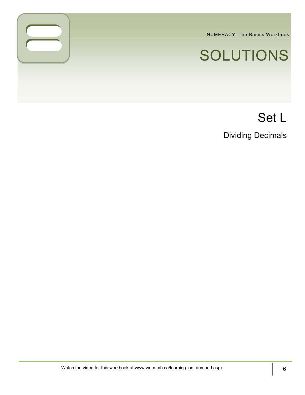NUMERACY: The Basics Workbook

# SOLUTIONS

# Set L

Dividing Decimals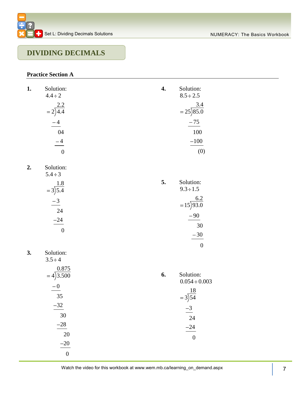

### **DIVIDING DECIMALS**

### **Practice Section A**

| 1. | Solution:<br>$4.4 \div 2$                    | 4. | Solution:<br>$8.5 \div 2.5$     |
|----|----------------------------------------------|----|---------------------------------|
|    | $=2\overline{\smash)4.4}^{2.2}$              |    | $= 25\overline{\smash)85.0}$    |
|    | $\frac{-4}{\ }$                              |    | $-75$                           |
|    | 04                                           |    | 100                             |
|    | $\frac{-4}{\phantom{000}}$<br>$\overline{0}$ |    | $-100$<br>(0)                   |
|    |                                              |    |                                 |
| 2. | Solution:<br>$5.4 \div 3$                    |    |                                 |
|    | $=3\overline{\smash)5.4}$                    | 5. | Solution:<br>$9.3 \div 1.5$     |
|    | $\frac{-3}{24}$                              |    | $=15\overline{)93.0}$           |
|    |                                              |    | $-90$                           |
|    | $\frac{-24}{2}$                              |    | 30                              |
|    | $\overline{0}$                               |    | $-30$                           |
|    |                                              |    | $\overline{0}$                  |
| 3. | Solution:<br>$3.5 \div 4$                    |    |                                 |
|    | $=4\overline{)3.500}$                        | 6. | Solution:<br>$0.054 \div 0.003$ |
|    | $-0$                                         |    |                                 |
|    | 35                                           |    | $=\frac{18}{3}$                 |
|    | $-32$                                        |    | $-3$                            |
|    | 30                                           |    | 24                              |
|    | $-28$                                        |    | $-24$                           |
|    | 20                                           |    | $\boldsymbol{0}$                |
|    | $-20$                                        |    |                                 |
|    | $\boldsymbol{0}$                             |    |                                 |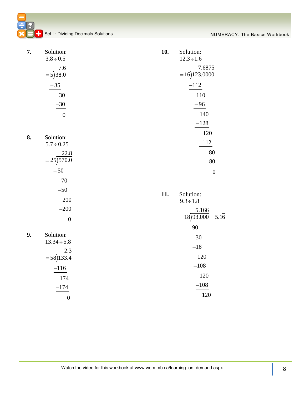NUMERACY: The Basics Workbook

| Set L: Dividing Decimals Solutions |
|------------------------------------|

| 7. | Solution:                     | 10. | Solution:                                 |
|----|-------------------------------|-----|-------------------------------------------|
|    | $3.8 \div 0.5$                |     | $12.3 \div 1.6$                           |
|    | $= 5\overline{\smash)38.0}$   |     | $=16\overline{)123.0000}$                 |
|    | $-35$                         |     | $-112$                                    |
|    | 30                            |     | 110                                       |
|    | $-30$                         |     | $-96$                                     |
|    | $\overline{0}$                |     | 140                                       |
|    |                               |     | $-128$                                    |
| 8. | Solution:                     |     | 120                                       |
|    | $5.7 \div 0.25$               |     | $-112$                                    |
|    |                               |     | 80                                        |
|    | $= 25\overline{\smash)570.0}$ |     | $-80$                                     |
|    | $-50$                         |     | $\boldsymbol{0}$                          |
|    | 70                            |     |                                           |
|    | $-50$                         | 11. | Solution:                                 |
|    | 200                           |     | $9.3 \div 1.8$                            |
|    | $-200$                        |     |                                           |
|    | $\boldsymbol{0}$              |     | $=18\overline{)93.000} = 5.1\overline{6}$ |
|    |                               |     | $-90$                                     |
| 9. | Solution:                     |     | 30                                        |
|    | $13.34 \div 5.8$              |     | $-18$                                     |
|    | $=58\overline{)133.4}$        |     | 120                                       |
|    | $-116$                        |     | $-108$                                    |
|    | 174                           |     | 120                                       |
|    | $-174$                        |     | $-108$                                    |
|    | $\boldsymbol{0}$              |     | 120                                       |
|    |                               |     |                                           |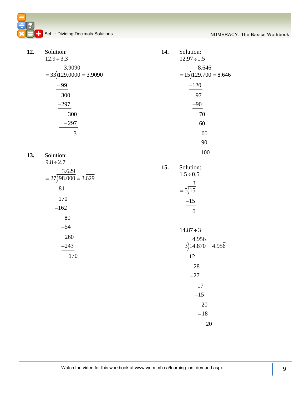| 12. | Solution:                                         | 14. | Solution:                                          |
|-----|---------------------------------------------------|-----|----------------------------------------------------|
|     | $12.9 \div 3.3$                                   |     | $12.97 \div 1.5$                                   |
|     | $\frac{3.9090}{=33\overline{)129.0000}} = 3.9090$ |     | $= 15\overline{\smash)129.700} = 8.64\overline{6}$ |
|     | $-99$                                             |     | $-120$                                             |
|     | 300                                               |     | 97                                                 |
|     | $-297$                                            |     | $-90$                                              |
|     | 300                                               |     | 70                                                 |
|     | $-297$                                            |     | $-60$                                              |
|     | $\overline{3}$                                    |     | 100                                                |
|     |                                                   |     | $-90$                                              |
| 13. | Solution:                                         |     | 100                                                |
|     | $9.8 \div 2.7$                                    | 15. | Solution:                                          |
|     | $= 27\overline{)98.000} = 3.\overline{629}$       |     | $1.5 \div 0.5$                                     |
|     |                                                   |     |                                                    |
|     | $-81$                                             |     | $= 5\overline{\smash)15}$                          |
|     | 170                                               |     | $\frac{-15}{2}$                                    |
|     | $-162$                                            |     | $\overline{0}$                                     |
|     | 80                                                |     |                                                    |
|     | $-54$                                             |     | $14.87 \div 3$                                     |
|     | 260                                               |     | $=\frac{4.956}{3 \cdot 14.870} = 4.95\overline{6}$ |
|     | $-243$                                            |     |                                                    |
|     | 170                                               |     | $-12$                                              |
|     |                                                   |     | 28                                                 |
|     |                                                   |     | $-27$                                              |
|     |                                                   |     | 17                                                 |
|     |                                                   |     | $-15$                                              |
|     |                                                   |     | 20                                                 |
|     |                                                   |     | $-18$                                              |
|     |                                                   |     | 20                                                 |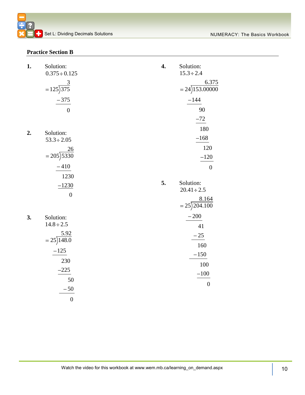### **Practice Section B**

| 1. | Solution:<br>$0.375 \div 0.125$     | 4. | Solution:<br>$15.3 \div 2.4$    |
|----|-------------------------------------|----|---------------------------------|
|    | $=125\overline{\smash)375}$         |    | 6.375<br>$= 24$ )153.00000      |
|    | $-375$                              |    | $-144$                          |
|    | $\overline{0}$                      |    | 90                              |
|    |                                     |    | $-72$                           |
| 2. | Solution:                           |    | 180<br>$-168$                   |
|    | $53.3 \div 2.05$<br>26              |    | 120                             |
|    | $= 205\overline{\smash{\big)}5330}$ |    | $-120$                          |
|    | $-410$                              |    | $\overline{0}$                  |
|    | 1230                                |    |                                 |
|    | $-1230$                             | 5. | Solution:<br>$20.41 \div 2.5$   |
|    | $\boldsymbol{0}$                    |    | $= 25\overline{\smash)204.100}$ |
| 3. | Solution:                           |    | $-200$                          |
|    | $14.8 \div 2.5$<br>5.92             |    | 41                              |
|    | $= 25\sqrt{148.0}$                  |    | $-25$                           |
|    | $-125$                              |    | 160<br>$-150$                   |
|    | 230                                 |    | 100                             |
|    | $-225$                              |    | $-100$                          |
|    | 50                                  |    | $\boldsymbol{0}$                |
|    | $-50$                               |    |                                 |
|    | $\boldsymbol{0}$                    |    |                                 |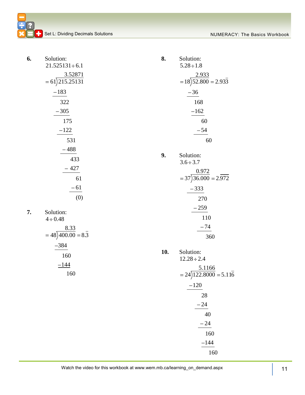| 6. | Solution:                                | 8.  | Solution:                                               |
|----|------------------------------------------|-----|---------------------------------------------------------|
|    | $21.525131 \div 6.1$                     |     | $5.28 \div 1.8$                                         |
|    | $=\frac{3.52871}{215.25131}$             |     | $= 18\overline{\smash{\big)}52.800} = 2.93\overline{3}$ |
|    | $-183$                                   |     | $-36$                                                   |
|    | 322                                      |     | 168                                                     |
|    | $-305$                                   |     | $-162$                                                  |
|    | 175                                      |     | 60                                                      |
|    | $-122$                                   |     | $-54$                                                   |
|    | 531                                      |     | 60                                                      |
|    | $-488$                                   |     |                                                         |
|    | 433                                      | 9.  | Solution:<br>$3.6 \div 3.7$                             |
|    | $-427$                                   |     |                                                         |
|    | 61                                       |     | $= 37\overline{)36.000} = 2.\overline{972}$             |
|    | $-61$                                    |     | $-333$                                                  |
|    | (0)                                      |     | 270                                                     |
|    |                                          |     | $-259$                                                  |
| 7. | Solution:<br>$4 \div 0.48$               |     | 110                                                     |
|    |                                          |     | $-74$                                                   |
|    | $=48\overline{)400.00} = 8.\overline{3}$ |     | 360                                                     |
|    | $-384$                                   |     |                                                         |
|    | 160                                      | 10. | Solution:<br>$12.28 \div 2.4$                           |
|    | $-144$                                   |     |                                                         |
|    | 160                                      |     | $= 24\overline{)122.8000} = 5.11\overline{6}$           |
|    |                                          |     | $-120$                                                  |
|    |                                          |     | 28                                                      |
|    |                                          |     | $-24$                                                   |
|    |                                          |     | 40                                                      |
|    |                                          |     | $-24$                                                   |
|    |                                          |     | 160                                                     |
|    |                                          |     | $-144$                                                  |
|    |                                          |     | 160                                                     |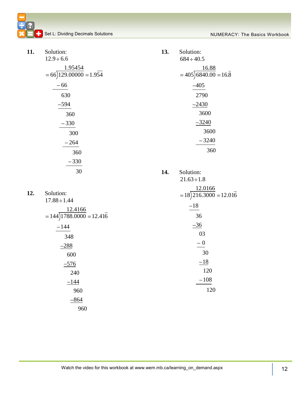**C**Set L: Dividing Decimals Solutions Numeractive Control of the Basics Workbook

| 11. | Solution:                                                    | 13. | Solution:                                                        |
|-----|--------------------------------------------------------------|-----|------------------------------------------------------------------|
|     | $12.9 \div 6.6$                                              |     | $684 \div 40.5$                                                  |
|     | 1.95454                                                      |     | $= 405\overline{\smash{\big)}6840.00} = 16.\overline{\smash{8}}$ |
|     | $= 66\overline{)129.00000} = 1.954$                          |     |                                                                  |
|     | $-66$                                                        |     | $-405$                                                           |
|     | 630                                                          |     | 2790                                                             |
|     | $-594$                                                       |     | $-2430$                                                          |
|     | 360                                                          |     | 3600                                                             |
|     | $-330$                                                       |     | $-3240$                                                          |
|     | 300                                                          |     | 3600                                                             |
|     | $-264$                                                       |     | $-3240$                                                          |
|     | 360                                                          |     | 360                                                              |
|     | $-330$                                                       |     |                                                                  |
|     | 30                                                           | 14. | Solution:                                                        |
|     |                                                              |     | $21.63 \div 1.8$                                                 |
|     |                                                              |     | 12.0166                                                          |
| 12. | Solution:<br>$17.88 \div 1.44$                               |     | $=18\overline{)216.3000} = 12.01\overline{6}$                    |
|     |                                                              |     | $-18$                                                            |
|     | $\frac{12.4166}{=144\overline{)1788.0000}=12.41\overline{6}$ |     | 36                                                               |
|     | $-144$                                                       |     | $-36$                                                            |
|     | 348                                                          |     | 03                                                               |
|     | $-288$                                                       |     | $-0$                                                             |
|     | 600                                                          |     | 30                                                               |
|     | $-576$                                                       |     | $-18$                                                            |
|     | 240                                                          |     | 120                                                              |
|     | $-144$                                                       |     | $-108$                                                           |
|     | 960                                                          |     | 120                                                              |
|     | $-864$                                                       |     |                                                                  |
|     | 960                                                          |     |                                                                  |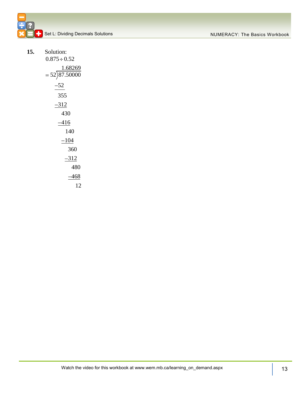**15.** 

| Solution:                                             |
|-------------------------------------------------------|
| $0.875 \div 0.52$                                     |
| $=\frac{1.68269}{52\overline{\smash{\big)}87.50000}}$ |
| -52                                                   |
| 355                                                   |
| -312                                                  |
| 430                                                   |
| -416                                                  |
| 140                                                   |
| –104                                                  |
| 360                                                   |
| -312                                                  |
| 480                                                   |
| –468                                                  |
| 12                                                    |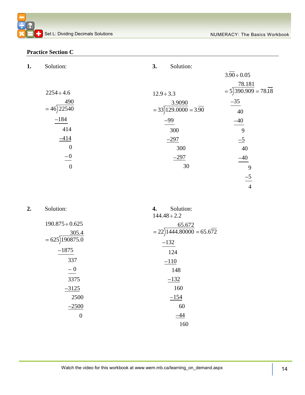### **Practice Section C**

| 1. | Solution:        | Solution:<br>3.                              |                                                     |
|----|------------------|----------------------------------------------|-----------------------------------------------------|
|    |                  |                                              | $3.90 \div 0.05$                                    |
|    |                  |                                              | 78.181                                              |
|    | $2254 \div 4.6$  | $12.9 \div 3.3$                              | $= 5\overline{\smash{)}390.909} = 78.\overline{18}$ |
|    | 490              | 3.9090                                       | $-35$                                               |
|    | $= 46$ ) 22540   | $= 33\overline{)129.0000} = 3.\overline{90}$ | 40                                                  |
|    | $-184$           | $-99$                                        | $-40$                                               |
|    | 414              | 300                                          | 9                                                   |
|    | $-414$           | $-297$                                       | $\overline{-5}$                                     |
|    | $\boldsymbol{0}$ | 300                                          | 40                                                  |
|    | $-0$             | $-297$                                       | $-40$                                               |
|    | $\boldsymbol{0}$ | 30                                           | 9                                                   |
|    |                  |                                              | $-5$                                                |
|    |                  |                                              | $\overline{4}$                                      |
|    |                  |                                              |                                                     |

| 2. | Solution:            | Solution:<br>4.<br>$144.48 \div 2.2$  |
|----|----------------------|---------------------------------------|
|    | $190.875 \div 0.625$ | 65.672                                |
|    | 305.4                | $= 22\overline{)1444.80000} = 65.672$ |
|    | $= 625$ )190875.0    | $-132$                                |
|    | $-1875$              | 124                                   |
|    | 337                  | $-110$                                |
|    | $-0$                 | 148                                   |
|    | 3375                 | $-132$                                |
|    | $-3125$              | 160                                   |
|    | 2500                 | $-154$                                |
|    | $-2500$              | 60                                    |
|    | $\theta$             | -44                                   |
|    |                      | 160                                   |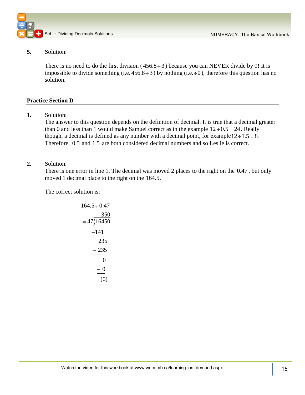

### **5.** Solution:

There is no need to do the first division  $(456.8 \div 3)$  because you can NEVER divide by 0! It is impossible to divide something (i.e.  $456.8 \div 3$ ) by nothing (i.e.  $\div 0$ ), therefore this question has no solution.

### **Practice Section D**

**1.** Solution:

The answer to this question depends on the definition of decimal. It is true that a decimal greater than 0 and less than 1 would make Samuel correct as in the example  $12 \div 0.5 = 24$ . Really though, a decimal is defined as any number with a decimal point, for example  $12 \div 1.5 = 8$ . Therefore, 0.5 and 1.5 are both considered decimal numbers and so Leslie is correct.

### **2.** Solution:

There is one error in line 1. The decimal was moved 2 places to the right on the 0.47, but only moved 1 decimal place to the right on the 164.5.

The correct solution is:

$$
164.5 \div 0.47
$$
  
= 47)16450  

$$
\underline{-141}
$$
  
235  

$$
\underline{-235}
$$
  
0  

$$
\underline{-0}
$$
  
(0)